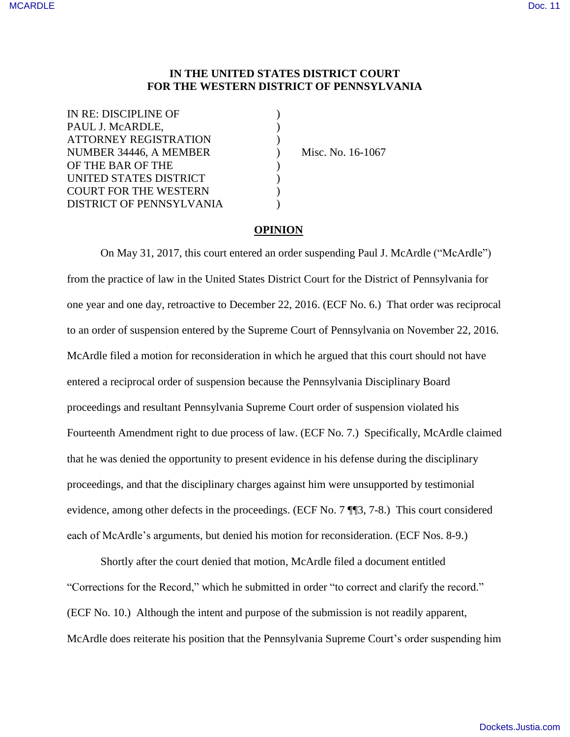## **IN THE UNITED STATES DISTRICT COURT FOR THE WESTERN DISTRICT OF PENNSYLVANIA**

| IN RE: DISCIPLINE OF                                   |  |
|--------------------------------------------------------|--|
| PAUL J. McARDLE,                                       |  |
| <b>ATTORNEY REGISTRATION</b><br>NUMBER 34446, A MEMBER |  |
|                                                        |  |
| UNITED STATES DISTRICT                                 |  |
| <b>COURT FOR THE WESTERN</b>                           |  |
| DISTRICT OF PENNSYLVANIA                               |  |

) Misc. No. 16-1067

## **OPINION**

On May 31, 2017, this court entered an order suspending Paul J. McArdle ("McArdle") from the practice of law in the United States District Court for the District of Pennsylvania for one year and one day, retroactive to December 22, 2016. (ECF No. 6.) That order was reciprocal to an order of suspension entered by the Supreme Court of Pennsylvania on November 22, 2016. McArdle filed a motion for reconsideration in which he argued that this court should not have entered a reciprocal order of suspension because the Pennsylvania Disciplinary Board proceedings and resultant Pennsylvania Supreme Court order of suspension violated his Fourteenth Amendment right to due process of law. (ECF No. 7.) Specifically, McArdle claimed that he was denied the opportunity to present evidence in his defense during the disciplinary proceedings, and that the disciplinary charges against him were unsupported by testimonial evidence, among other defects in the proceedings. (ECF No. 7 ¶¶3, 7-8.) This court considered each of McArdle's arguments, but denied his motion for reconsideration. (ECF Nos. 8-9.)

Shortly after the court denied that motion, McArdle filed a document entitled "Corrections for the Record," which he submitted in order "to correct and clarify the record." (ECF No. 10.) Although the intent and purpose of the submission is not readily apparent, McArdle does reiterate his position that the Pennsylvania Supreme Court's order suspending him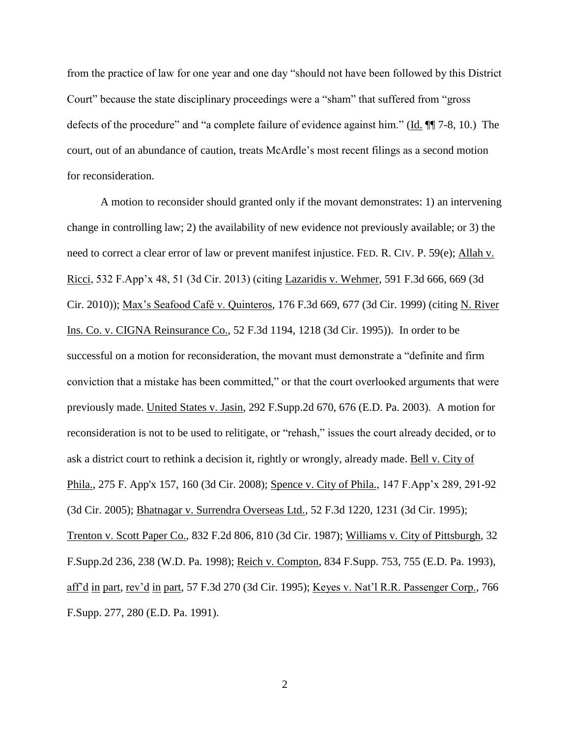from the practice of law for one year and one day "should not have been followed by this District Court" because the state disciplinary proceedings were a "sham" that suffered from "gross defects of the procedure" and "a complete failure of evidence against him." (Id. ¶¶ 7-8, 10.) The court, out of an abundance of caution, treats McArdle's most recent filings as a second motion for reconsideration.

A motion to reconsider should granted only if the movant demonstrates: 1) an intervening change in controlling law; 2) the availability of new evidence not previously available; or 3) the need to correct a clear error of law or prevent manifest injustice. FED. R. CIV. P. 59(e); Allah v. Ricci, 532 F.App'x 48, 51 (3d Cir. 2013) (citing Lazaridis v. Wehmer, 591 F.3d 666, 669 (3d Cir. 2010)); Max's Seafood Café v. Quinteros, 176 F.3d 669, 677 (3d Cir. 1999) (citing N. River Ins. Co. v. CIGNA Reinsurance Co., 52 F.3d 1194, 1218 (3d Cir. 1995)). In order to be successful on a motion for reconsideration, the movant must demonstrate a "definite and firm conviction that a mistake has been committed," or that the court overlooked arguments that were previously made. United States v. Jasin, 292 F.Supp.2d 670, 676 (E.D. Pa. 2003). A motion for reconsideration is not to be used to relitigate, or "rehash," issues the court already decided, or to ask a district court to rethink a decision it, rightly or wrongly, already made. Bell v. City of Phila., 275 F. App'x 157, 160 (3d Cir. 2008); Spence v. City of Phila., 147 F.App'x 289, 291-92 (3d Cir. 2005); Bhatnagar v. Surrendra Overseas Ltd., 52 F.3d 1220, 1231 (3d Cir. 1995); Trenton v. Scott Paper Co., 832 F.2d 806, 810 (3d Cir. 1987); Williams v. City of Pittsburgh, 32 F.Supp.2d 236, 238 (W.D. Pa. 1998); Reich v. Compton, 834 F.Supp. 753, 755 (E.D. Pa. 1993), aff'd in part, rev'd in part, 57 F.3d 270 (3d Cir. 1995); Keyes v. Nat'l R.R. Passenger Corp., 766 F.Supp. 277, 280 (E.D. Pa. 1991).

2